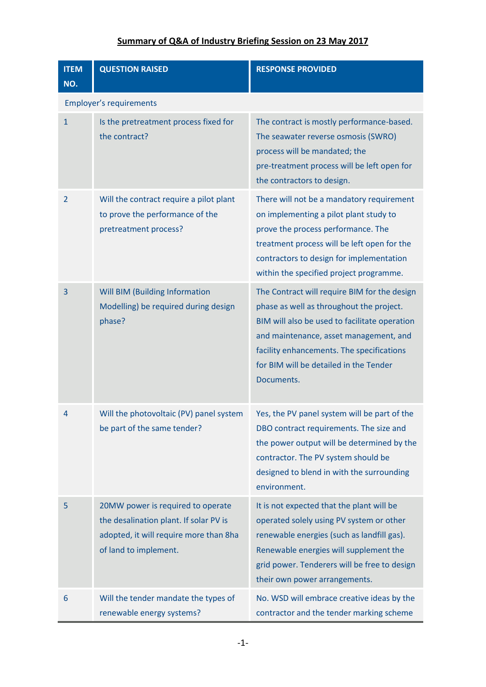| <b>ITEM</b><br>NO.             | <b>QUESTION RAISED</b>                                                                                                                         | <b>RESPONSE PROVIDED</b>                                                                                                                                                                                                                                                                 |  |
|--------------------------------|------------------------------------------------------------------------------------------------------------------------------------------------|------------------------------------------------------------------------------------------------------------------------------------------------------------------------------------------------------------------------------------------------------------------------------------------|--|
| <b>Employer's requirements</b> |                                                                                                                                                |                                                                                                                                                                                                                                                                                          |  |
| $\mathbf{1}$                   | Is the pretreatment process fixed for<br>the contract?                                                                                         | The contract is mostly performance-based.<br>The seawater reverse osmosis (SWRO)<br>process will be mandated; the<br>pre-treatment process will be left open for<br>the contractors to design.                                                                                           |  |
| $\overline{2}$                 | Will the contract require a pilot plant<br>to prove the performance of the<br>pretreatment process?                                            | There will not be a mandatory requirement<br>on implementing a pilot plant study to<br>prove the process performance. The<br>treatment process will be left open for the<br>contractors to design for implementation<br>within the specified project programme.                          |  |
| 3                              | Will BIM (Building Information<br>Modelling) be required during design<br>phase?                                                               | The Contract will require BIM for the design<br>phase as well as throughout the project.<br>BIM will also be used to facilitate operation<br>and maintenance, asset management, and<br>facility enhancements. The specifications<br>for BIM will be detailed in the Tender<br>Documents. |  |
| 4                              | Will the photovoltaic (PV) panel system<br>be part of the same tender?                                                                         | Yes, the PV panel system will be part of the<br>DBO contract requirements. The size and<br>the power output will be determined by the<br>contractor. The PV system should be<br>designed to blend in with the surrounding<br>environment.                                                |  |
| 5                              | 20MW power is required to operate<br>the desalination plant. If solar PV is<br>adopted, it will require more than 8ha<br>of land to implement. | It is not expected that the plant will be<br>operated solely using PV system or other<br>renewable energies (such as landfill gas).<br>Renewable energies will supplement the<br>grid power. Tenderers will be free to design<br>their own power arrangements.                           |  |
| 6                              | Will the tender mandate the types of<br>renewable energy systems?                                                                              | No. WSD will embrace creative ideas by the<br>contractor and the tender marking scheme                                                                                                                                                                                                   |  |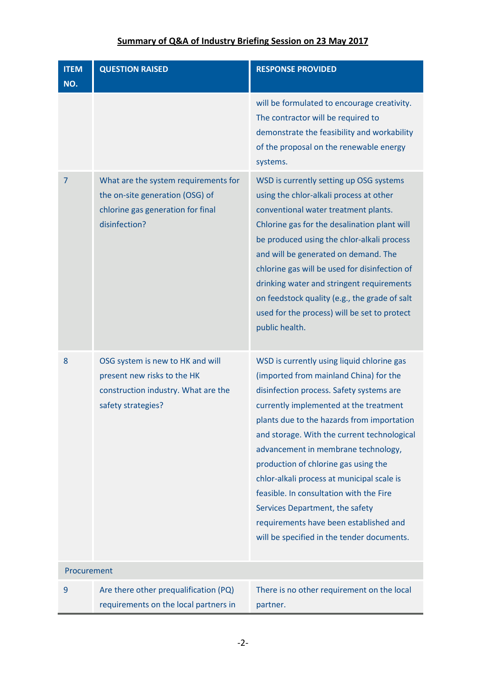| <b>ITEM</b><br>NO. | <b>QUESTION RAISED</b>                                                                                                        | <b>RESPONSE PROVIDED</b>                                                                                                                                                                                                                                                                                                                                                                                                                                                                                                                                                   |
|--------------------|-------------------------------------------------------------------------------------------------------------------------------|----------------------------------------------------------------------------------------------------------------------------------------------------------------------------------------------------------------------------------------------------------------------------------------------------------------------------------------------------------------------------------------------------------------------------------------------------------------------------------------------------------------------------------------------------------------------------|
|                    |                                                                                                                               | will be formulated to encourage creativity.<br>The contractor will be required to<br>demonstrate the feasibility and workability<br>of the proposal on the renewable energy<br>systems.                                                                                                                                                                                                                                                                                                                                                                                    |
| 7                  | What are the system requirements for<br>the on-site generation (OSG) of<br>chlorine gas generation for final<br>disinfection? | WSD is currently setting up OSG systems<br>using the chlor-alkali process at other<br>conventional water treatment plants.<br>Chlorine gas for the desalination plant will<br>be produced using the chlor-alkali process<br>and will be generated on demand. The<br>chlorine gas will be used for disinfection of<br>drinking water and stringent requirements<br>on feedstock quality (e.g., the grade of salt<br>used for the process) will be set to protect<br>public health.                                                                                          |
| 8                  | OSG system is new to HK and will<br>present new risks to the HK<br>construction industry. What are the<br>safety strategies?  | WSD is currently using liquid chlorine gas<br>(imported from mainland China) for the<br>disinfection process. Safety systems are<br>currently implemented at the treatment<br>plants due to the hazards from importation<br>and storage. With the current technological<br>advancement in membrane technology,<br>production of chlorine gas using the<br>chlor-alkali process at municipal scale is<br>feasible. In consultation with the Fire<br>Services Department, the safety<br>requirements have been established and<br>will be specified in the tender documents. |
| Procurement        |                                                                                                                               |                                                                                                                                                                                                                                                                                                                                                                                                                                                                                                                                                                            |
| 9                  | Are there other prequalification (PQ)<br>requirements on the local partners in                                                | There is no other requirement on the local<br>partner.                                                                                                                                                                                                                                                                                                                                                                                                                                                                                                                     |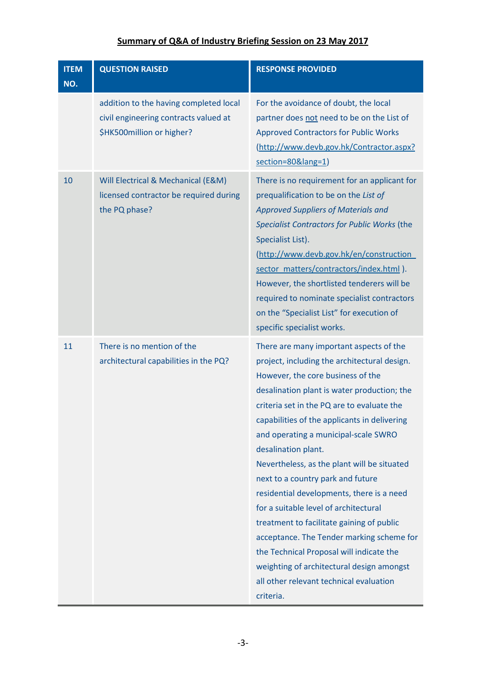| <b>ITEM</b><br>NO. | <b>QUESTION RAISED</b>                                                                                       | <b>RESPONSE PROVIDED</b>                                                                                                                                                                                                                                                                                                                                                                                                                                                                                                                                                                                                                                                                                                                                      |
|--------------------|--------------------------------------------------------------------------------------------------------------|---------------------------------------------------------------------------------------------------------------------------------------------------------------------------------------------------------------------------------------------------------------------------------------------------------------------------------------------------------------------------------------------------------------------------------------------------------------------------------------------------------------------------------------------------------------------------------------------------------------------------------------------------------------------------------------------------------------------------------------------------------------|
|                    | addition to the having completed local<br>civil engineering contracts valued at<br>\$HK500million or higher? | For the avoidance of doubt, the local<br>partner does not need to be on the List of<br><b>Approved Contractors for Public Works</b><br>(http://www.devb.gov.hk/Contractor.aspx?<br>section=80⟨=1)                                                                                                                                                                                                                                                                                                                                                                                                                                                                                                                                                             |
| 10                 | Will Electrical & Mechanical (E&M)<br>licensed contractor be required during<br>the PQ phase?                | There is no requirement for an applicant for<br>prequalification to be on the List of<br><b>Approved Suppliers of Materials and</b><br>Specialist Contractors for Public Works (the<br>Specialist List).<br>(http://www.devb.gov.hk/en/construction<br>sector_matters/contractors/index.html ).<br>However, the shortlisted tenderers will be<br>required to nominate specialist contractors<br>on the "Specialist List" for execution of<br>specific specialist works.                                                                                                                                                                                                                                                                                       |
| 11                 | There is no mention of the<br>architectural capabilities in the PQ?                                          | There are many important aspects of the<br>project, including the architectural design.<br>However, the core business of the<br>desalination plant is water production; the<br>criteria set in the PQ are to evaluate the<br>capabilities of the applicants in delivering<br>and operating a municipal-scale SWRO<br>desalination plant.<br>Nevertheless, as the plant will be situated<br>next to a country park and future<br>residential developments, there is a need<br>for a suitable level of architectural<br>treatment to facilitate gaining of public<br>acceptance. The Tender marking scheme for<br>the Technical Proposal will indicate the<br>weighting of architectural design amongst<br>all other relevant technical evaluation<br>criteria. |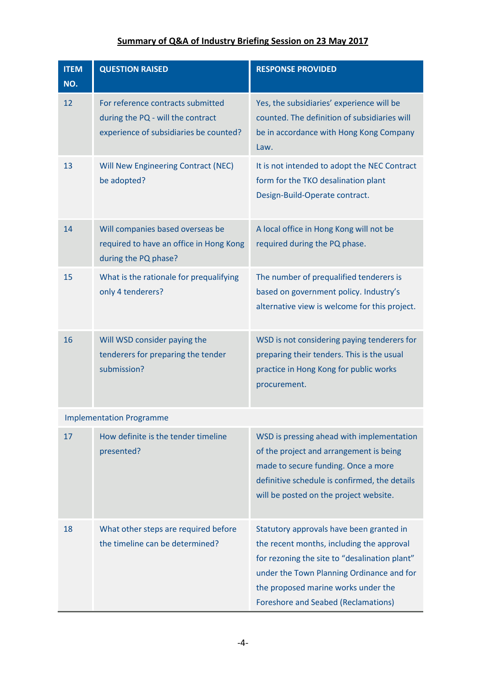| <b>ITEM</b><br>NO. | <b>QUESTION RAISED</b>                                                                                           | <b>RESPONSE PROVIDED</b>                                                                                                                                                                                                                                                 |
|--------------------|------------------------------------------------------------------------------------------------------------------|--------------------------------------------------------------------------------------------------------------------------------------------------------------------------------------------------------------------------------------------------------------------------|
| 12                 | For reference contracts submitted<br>during the PQ - will the contract<br>experience of subsidiaries be counted? | Yes, the subsidiaries' experience will be<br>counted. The definition of subsidiaries will<br>be in accordance with Hong Kong Company<br>Law.                                                                                                                             |
| 13                 | Will New Engineering Contract (NEC)<br>be adopted?                                                               | It is not intended to adopt the NEC Contract<br>form for the TKO desalination plant<br>Design-Build-Operate contract.                                                                                                                                                    |
| 14                 | Will companies based overseas be<br>required to have an office in Hong Kong<br>during the PQ phase?              | A local office in Hong Kong will not be<br>required during the PQ phase.                                                                                                                                                                                                 |
| 15                 | What is the rationale for prequalifying<br>only 4 tenderers?                                                     | The number of prequalified tenderers is<br>based on government policy. Industry's<br>alternative view is welcome for this project.                                                                                                                                       |
| 16                 | Will WSD consider paying the<br>tenderers for preparing the tender<br>submission?                                | WSD is not considering paying tenderers for<br>preparing their tenders. This is the usual<br>practice in Hong Kong for public works<br>procurement.                                                                                                                      |
|                    | <b>Implementation Programme</b>                                                                                  |                                                                                                                                                                                                                                                                          |
| 17                 | How definite is the tender timeline<br>presented?                                                                | WSD is pressing ahead with implementation<br>of the project and arrangement is being<br>made to secure funding. Once a more<br>definitive schedule is confirmed, the details<br>will be posted on the project website.                                                   |
| 18                 | What other steps are required before<br>the timeline can be determined?                                          | Statutory approvals have been granted in<br>the recent months, including the approval<br>for rezoning the site to "desalination plant"<br>under the Town Planning Ordinance and for<br>the proposed marine works under the<br><b>Foreshore and Seabed (Reclamations)</b> |